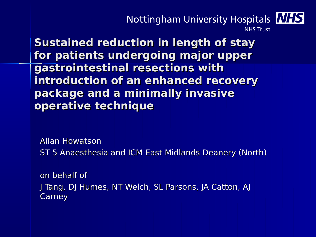#### Nottingham University Hospitals NHS **NHS Trust**

**Sustained reduction in length of stay for patients undergoing major upper gastrointestinal resections with introduction of an enhanced recovery package and a minimally invasive operative technique**

Allan Howatson

ST 5 Anaesthesia and ICM East Midlands Deanery (North)

on behalf of J Tang, DJ Humes, NT Welch, SL Parsons, JA Catton, AJ Carney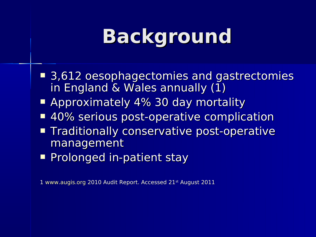## **Background**

- 3,612 oesophagectomies and gastrectomies in England & Wales annually (1)
- **E** Approximately 4% 30 day mortality
- 40% serious post-operative complication
- **Traditionally conservative post-operative** management
- **Prolonged in-patient stay**

1 [www.augis.org](http://www.augis.org/) 2010 Audit Report. Accessed 21st August 2011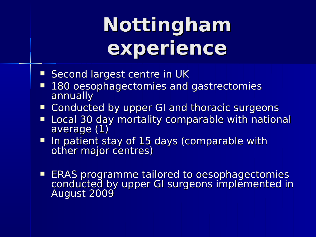# **Nottingham experience**

- **Second largest centre in UK**
- **180 oesophagectomies and gastrectomies** annually
- Conducted by upper GI and thoracic surgeons
- **Local 30 day mortality comparable with national** average (1)
- In patient stay of 15 days (comparable with other major centres)
- **ERAS programme tailored to oesophagectomies** conducted by upper GI surgeons implemented in August 2009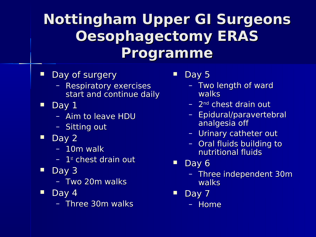### **Nottingham Upper GI Surgeons Oesophagectomy ERAS Programme**

- Day of surgery
	- Respiratory exercises start and continue daily
- $\blacksquare$  Day 1
	- Aim to leave HDU
	- Sitting out
- Day 2
	- 10m walk
	- $-1$ <sup>st</sup> chest drain out
- $\blacksquare$  Day 3
	- Two 20m walks
- $\blacksquare$  Day 4
	- Three 30m walks

 $\blacksquare$  Day 5

- Two length of ward walks
- 2nd chest drain out
- Epidural/paravertebral analgesia off
- Urinary catheter out
- Oral fluids building to nutritional fluids
- $\blacksquare$  Day 6
	- Three independent 30m walks
- $\blacksquare$  Day 7
	- Home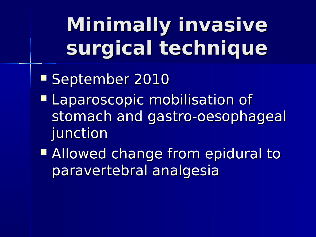# **Minimally invasive surgical technique**

- September 2010
- **Laparoscopic mobilisation of** stomach and gastro-oesophageal junction
- **Allowed change from epidural to** paravertebral analgesia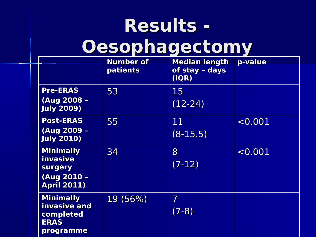### **Results - Oesophagectomy**

|  |                                                                                     | <b>Number of</b><br><b>patients</b> | <b>Median length</b><br>of stay - days<br>( IQR) | p-value |
|--|-------------------------------------------------------------------------------------|-------------------------------------|--------------------------------------------------|---------|
|  | <b>Pre-ERAS</b><br>(Aug 2008 -<br><b>July 2009)</b>                                 | 53                                  | 15<br>$(12-24)$                                  |         |
|  | <b>Post-ERAS</b><br>(Aug 2009 -<br><b>July 2010)</b>                                | 55                                  | 11<br>$(8-15.5)$                                 | < 0.001 |
|  | <b>Minimally</b><br>invasive<br><b>surgery</b><br>(Aug 2010 -<br><b>April 2011)</b> | 34                                  | 8<br>$(7-12)$                                    | < 0.001 |
|  | <b>Minimally</b><br>invasive and<br>completed<br><b>ERAS</b><br>programme           | 19 (56%)                            | 7<br>$(7-8)$                                     |         |